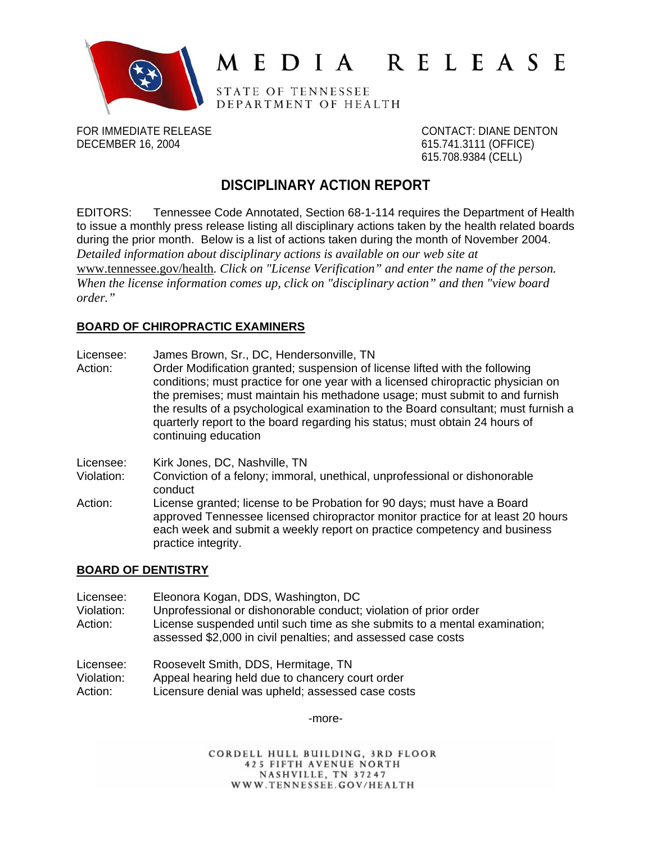

# MEDIA RELEASE

STATE OF TENNESSEE DEPARTMENT OF HEALTH

FOR IMMEDIATE RELEASE CONTACT: DIANE DENTON DECEMBER 16, 2004 615.741.3111 (OFFICE)

615.708.9384 (CELL)

## **DISCIPLINARY ACTION REPORT**

EDITORS: Tennessee Code Annotated, Section 68-1-114 requires the Department of Health to issue a monthly press release listing all disciplinary actions taken by the health related boards during the prior month. Below is a list of actions taken during the month of November 2004. *Detailed information about disciplinary actions is available on our web site at*  [www.tennessee.gov/health](http://www.tennessee.gov/health)*. Click on "License Verification" and enter the name of the person. When the license information comes up, click on "disciplinary action" and then "view board order."* 

## **BOARD OF CHIROPRACTIC EXAMINERS**

- Licensee: James Brown, Sr., DC, Hendersonville, TN
- Action: Order Modification granted; suspension of license lifted with the following conditions; must practice for one year with a licensed chiropractic physician on the premises; must maintain his methadone usage; must submit to and furnish the results of a psychological examination to the Board consultant; must furnish a quarterly report to the board regarding his status; must obtain 24 hours of continuing education

Licensee: Kirk Jones, DC, Nashville, TN

- Violation: Conviction of a felony; immoral, unethical, unprofessional or dishonorable conduct
- Action: License granted; license to be Probation for 90 days; must have a Board approved Tennessee licensed chiropractor monitor practice for at least 20 hours each week and submit a weekly report on practice competency and business practice integrity.

## **BOARD OF DENTISTRY**

| Licensee:<br>Violation: | Eleonora Kogan, DDS, Washington, DC<br>Unprofessional or dishonorable conduct; violation of prior order                                   |
|-------------------------|-------------------------------------------------------------------------------------------------------------------------------------------|
| Action:                 | License suspended until such time as she submits to a mental examination;<br>assessed \$2,000 in civil penalties; and assessed case costs |
| .                       | Description the DDC Hemethous TN                                                                                                          |

| Licensee:  | Roosevelt Smith, DDS, Hermitage, TN              |
|------------|--------------------------------------------------|
| Violation: | Appeal hearing held due to chancery court order  |
| Action:    | Licensure denial was upheld; assessed case costs |

-more-

CORDELL HULL BUILDING, 3RD FLOOR **425 FIFTH AVENUE NORTH** NASHVILLE, TN 37247 WWW.TENNESSEE.GOV/HEALTH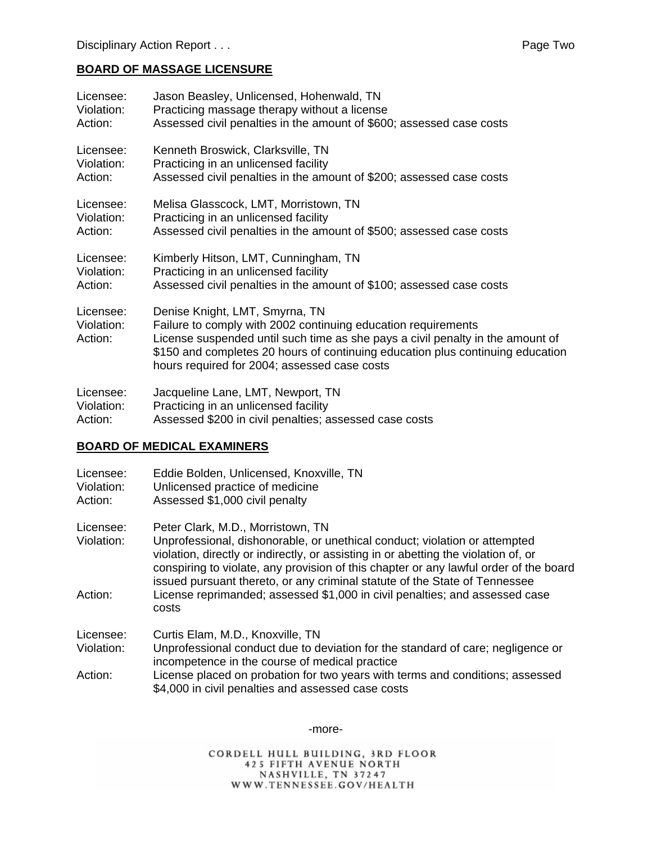## **BOARD OF MASSAGE LICENSURE**

| Licensee:                          | Jason Beasley, Unlicensed, Hohenwald, TN                                                                                                                                                                                                                                                                            |
|------------------------------------|---------------------------------------------------------------------------------------------------------------------------------------------------------------------------------------------------------------------------------------------------------------------------------------------------------------------|
| Violation:                         | Practicing massage therapy without a license                                                                                                                                                                                                                                                                        |
| Action:                            | Assessed civil penalties in the amount of \$600; assessed case costs                                                                                                                                                                                                                                                |
| Licensee:                          | Kenneth Broswick, Clarksville, TN                                                                                                                                                                                                                                                                                   |
| Violation:                         | Practicing in an unlicensed facility                                                                                                                                                                                                                                                                                |
| Action:                            | Assessed civil penalties in the amount of \$200; assessed case costs                                                                                                                                                                                                                                                |
| Licensee:                          | Melisa Glasscock, LMT, Morristown, TN                                                                                                                                                                                                                                                                               |
| Violation:                         | Practicing in an unlicensed facility                                                                                                                                                                                                                                                                                |
| Action:                            | Assessed civil penalties in the amount of \$500; assessed case costs                                                                                                                                                                                                                                                |
| Licensee:                          | Kimberly Hitson, LMT, Cunningham, TN                                                                                                                                                                                                                                                                                |
| Violation:                         | Practicing in an unlicensed facility                                                                                                                                                                                                                                                                                |
| Action:                            | Assessed civil penalties in the amount of \$100; assessed case costs                                                                                                                                                                                                                                                |
| Licensee:<br>Violation:<br>Action: | Denise Knight, LMT, Smyrna, TN<br>Failure to comply with 2002 continuing education requirements<br>License suspended until such time as she pays a civil penalty in the amount of<br>\$150 and completes 20 hours of continuing education plus continuing education<br>hours required for 2004; assessed case costs |
| Licensee:                          | Jacqueline Lane, LMT, Newport, TN                                                                                                                                                                                                                                                                                   |
| Violation:                         | Practicing in an unlicensed facility                                                                                                                                                                                                                                                                                |

Action: Assessed \$200 in civil penalties; assessed case costs

## **BOARD OF MEDICAL EXAMINERS**

| Licensee:<br>Violation:<br>Action: | Eddie Bolden, Unlicensed, Knoxville, TN<br>Unlicensed practice of medicine<br>Assessed \$1,000 civil penalty                                                                                                                                                                                                                                                                  |
|------------------------------------|-------------------------------------------------------------------------------------------------------------------------------------------------------------------------------------------------------------------------------------------------------------------------------------------------------------------------------------------------------------------------------|
| Licensee:<br>Violation:            | Peter Clark, M.D., Morristown, TN<br>Unprofessional, dishonorable, or unethical conduct; violation or attempted<br>violation, directly or indirectly, or assisting in or abetting the violation of, or<br>conspiring to violate, any provision of this chapter or any lawful order of the board<br>issued pursuant thereto, or any criminal statute of the State of Tennessee |
| Action:                            | License reprimanded; assessed \$1,000 in civil penalties; and assessed case<br>costs                                                                                                                                                                                                                                                                                          |
| Licensee:                          | Curtis Elam, M.D., Knoxville, TN                                                                                                                                                                                                                                                                                                                                              |
| Violation:                         | Unprofessional conduct due to deviation for the standard of care; negligence or<br>incompetence in the course of medical practice                                                                                                                                                                                                                                             |
| Action:                            | License placed on probation for two years with terms and conditions; assessed<br>\$4,000 in civil penalties and assessed case costs                                                                                                                                                                                                                                           |

-more-

CORDELL HULL BUILDING, 3RD FLOOR **425 FIFTH AVENUE NORTH** NASHVILLE, TN 37247<br>WWW.TENNESSEE.GOV/HEALTH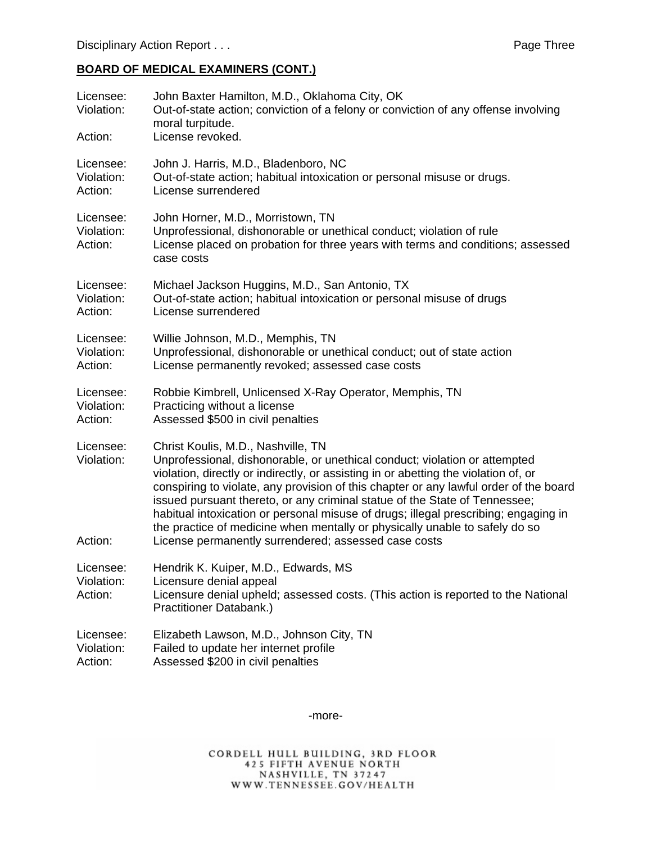## **BOARD OF MEDICAL EXAMINERS (CONT.)**

| Licensee:<br>Violation:<br>Action: | John Baxter Hamilton, M.D., Oklahoma City, OK<br>Out-of-state action; conviction of a felony or conviction of any offense involving<br>moral turpitude.<br>License revoked.                                                                                                                                                                                                                                                                                                                                                                                                                                  |
|------------------------------------|--------------------------------------------------------------------------------------------------------------------------------------------------------------------------------------------------------------------------------------------------------------------------------------------------------------------------------------------------------------------------------------------------------------------------------------------------------------------------------------------------------------------------------------------------------------------------------------------------------------|
| Licensee:                          | John J. Harris, M.D., Bladenboro, NC                                                                                                                                                                                                                                                                                                                                                                                                                                                                                                                                                                         |
| Violation:                         | Out-of-state action; habitual intoxication or personal misuse or drugs.                                                                                                                                                                                                                                                                                                                                                                                                                                                                                                                                      |
| Action:                            | License surrendered                                                                                                                                                                                                                                                                                                                                                                                                                                                                                                                                                                                          |
| Licensee:<br>Violation:<br>Action: | John Horner, M.D., Morristown, TN<br>Unprofessional, dishonorable or unethical conduct; violation of rule<br>License placed on probation for three years with terms and conditions; assessed<br>case costs                                                                                                                                                                                                                                                                                                                                                                                                   |
| Licensee:                          | Michael Jackson Huggins, M.D., San Antonio, TX                                                                                                                                                                                                                                                                                                                                                                                                                                                                                                                                                               |
| Violation:                         | Out-of-state action; habitual intoxication or personal misuse of drugs                                                                                                                                                                                                                                                                                                                                                                                                                                                                                                                                       |
| Action:                            | License surrendered                                                                                                                                                                                                                                                                                                                                                                                                                                                                                                                                                                                          |
| Licensee:                          | Willie Johnson, M.D., Memphis, TN                                                                                                                                                                                                                                                                                                                                                                                                                                                                                                                                                                            |
| Violation:                         | Unprofessional, dishonorable or unethical conduct; out of state action                                                                                                                                                                                                                                                                                                                                                                                                                                                                                                                                       |
| Action:                            | License permanently revoked; assessed case costs                                                                                                                                                                                                                                                                                                                                                                                                                                                                                                                                                             |
| Licensee:                          | Robbie Kimbrell, Unlicensed X-Ray Operator, Memphis, TN                                                                                                                                                                                                                                                                                                                                                                                                                                                                                                                                                      |
| Violation:                         | Practicing without a license                                                                                                                                                                                                                                                                                                                                                                                                                                                                                                                                                                                 |
| Action:                            | Assessed \$500 in civil penalties                                                                                                                                                                                                                                                                                                                                                                                                                                                                                                                                                                            |
| Licensee:<br>Violation:<br>Action: | Christ Koulis, M.D., Nashville, TN<br>Unprofessional, dishonorable, or unethical conduct; violation or attempted<br>violation, directly or indirectly, or assisting in or abetting the violation of, or<br>conspiring to violate, any provision of this chapter or any lawful order of the board<br>issued pursuant thereto, or any criminal statue of the State of Tennessee;<br>habitual intoxication or personal misuse of drugs; illegal prescribing; engaging in<br>the practice of medicine when mentally or physically unable to safely do so<br>License permanently surrendered; assessed case costs |
| Licensee:<br>Violation:<br>Action: | Hendrik K. Kuiper, M.D., Edwards, MS<br>Licensure denial appeal<br>Licensure denial upheld; assessed costs. (This action is reported to the National<br>Practitioner Databank.)                                                                                                                                                                                                                                                                                                                                                                                                                              |
| Licensee:                          | Elizabeth Lawson, M.D., Johnson City, TN                                                                                                                                                                                                                                                                                                                                                                                                                                                                                                                                                                     |
| Violation:                         | Failed to update her internet profile                                                                                                                                                                                                                                                                                                                                                                                                                                                                                                                                                                        |
| Action:                            | Assessed \$200 in civil penalties                                                                                                                                                                                                                                                                                                                                                                                                                                                                                                                                                                            |

-more-

CORDELL HULL BUILDING, 3RD FLOOR<br>425 FIFTH AVENUE NORTH<br>NASHVILLE, TN 37247<br>WWW.TENNESSEE.GOV/HEALTH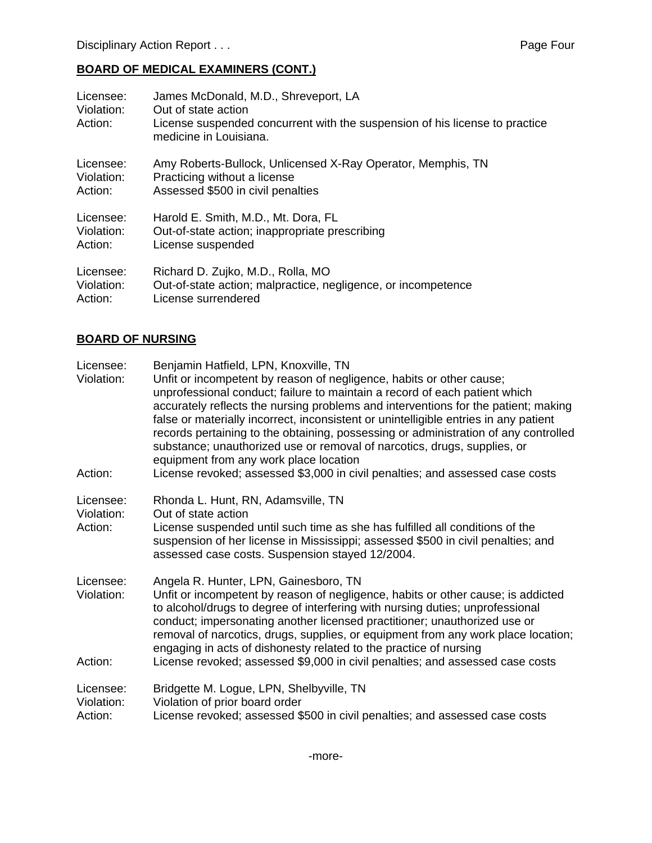## **BOARD OF MEDICAL EXAMINERS (CONT.)**

| Licensee:<br>Violation:<br>Action: | James McDonald, M.D., Shreveport, LA<br>Out of state action<br>License suspended concurrent with the suspension of his license to practice<br>medicine in Louisiana. |
|------------------------------------|----------------------------------------------------------------------------------------------------------------------------------------------------------------------|
| Licensee:                          | Amy Roberts-Bullock, Unlicensed X-Ray Operator, Memphis, TN                                                                                                          |
| Violation:                         | Practicing without a license                                                                                                                                         |
| Action:                            | Assessed \$500 in civil penalties                                                                                                                                    |
| Licensee:                          | Harold E. Smith, M.D., Mt. Dora, FL                                                                                                                                  |
| Violation:                         | Out-of-state action; inappropriate prescribing                                                                                                                       |
| Action:                            | License suspended                                                                                                                                                    |
| Licensee:                          | Richard D. Zujko, M.D., Rolla, MO                                                                                                                                    |
| Violation:                         | Out-of-state action; malpractice, negligence, or incompetence                                                                                                        |
| Action:                            | License surrendered                                                                                                                                                  |

## **BOARD OF NURSING**

| Licensee:<br>Violation:<br>Action: | Benjamin Hatfield, LPN, Knoxville, TN<br>Unfit or incompetent by reason of negligence, habits or other cause;<br>unprofessional conduct; failure to maintain a record of each patient which<br>accurately reflects the nursing problems and interventions for the patient; making<br>false or materially incorrect, inconsistent or unintelligible entries in any patient<br>records pertaining to the obtaining, possessing or administration of any controlled<br>substance; unauthorized use or removal of narcotics, drugs, supplies, or<br>equipment from any work place location<br>License revoked; assessed \$3,000 in civil penalties; and assessed case costs |
|------------------------------------|-------------------------------------------------------------------------------------------------------------------------------------------------------------------------------------------------------------------------------------------------------------------------------------------------------------------------------------------------------------------------------------------------------------------------------------------------------------------------------------------------------------------------------------------------------------------------------------------------------------------------------------------------------------------------|
|                                    |                                                                                                                                                                                                                                                                                                                                                                                                                                                                                                                                                                                                                                                                         |
| Licensee:<br>Violation:<br>Action: | Rhonda L. Hunt, RN, Adamsville, TN<br>Out of state action<br>License suspended until such time as she has fulfilled all conditions of the<br>suspension of her license in Mississippi; assessed \$500 in civil penalties; and<br>assessed case costs. Suspension stayed 12/2004.                                                                                                                                                                                                                                                                                                                                                                                        |
| Licensee:<br>Violation:<br>Action: | Angela R. Hunter, LPN, Gainesboro, TN<br>Unfit or incompetent by reason of negligence, habits or other cause; is addicted<br>to alcohol/drugs to degree of interfering with nursing duties; unprofessional<br>conduct; impersonating another licensed practitioner; unauthorized use or<br>removal of narcotics, drugs, supplies, or equipment from any work place location;<br>engaging in acts of dishonesty related to the practice of nursing<br>License revoked; assessed \$9,000 in civil penalties; and assessed case costs                                                                                                                                      |
| Licensee:<br>Violation:<br>Action: | Bridgette M. Logue, LPN, Shelbyville, TN<br>Violation of prior board order<br>License revoked; assessed \$500 in civil penalties; and assessed case costs                                                                                                                                                                                                                                                                                                                                                                                                                                                                                                               |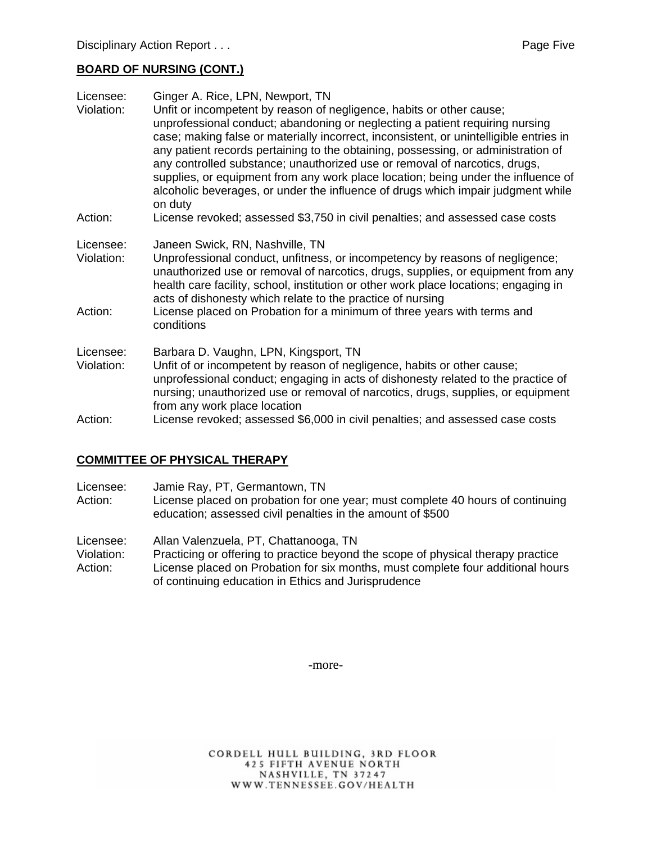### **BOARD OF NURSING (CONT.)**

| Licensee:  | Ginger A. Rice, LPN, Newport, TN                                                                                                                                                                                                                                                                                                                                                                                                                                                                                                                                                                      |
|------------|-------------------------------------------------------------------------------------------------------------------------------------------------------------------------------------------------------------------------------------------------------------------------------------------------------------------------------------------------------------------------------------------------------------------------------------------------------------------------------------------------------------------------------------------------------------------------------------------------------|
| Violation: | Unfit or incompetent by reason of negligence, habits or other cause;<br>unprofessional conduct; abandoning or neglecting a patient requiring nursing<br>case; making false or materially incorrect, inconsistent, or unintelligible entries in<br>any patient records pertaining to the obtaining, possessing, or administration of<br>any controlled substance; unauthorized use or removal of narcotics, drugs,<br>supplies, or equipment from any work place location; being under the influence of<br>alcoholic beverages, or under the influence of drugs which impair judgment while<br>on duty |
| Action:    | License revoked; assessed \$3,750 in civil penalties; and assessed case costs                                                                                                                                                                                                                                                                                                                                                                                                                                                                                                                         |
| Licensee:  | Janeen Swick, RN, Nashville, TN                                                                                                                                                                                                                                                                                                                                                                                                                                                                                                                                                                       |
| Violation: | Unprofessional conduct, unfitness, or incompetency by reasons of negligence;<br>unauthorized use or removal of narcotics, drugs, supplies, or equipment from any<br>health care facility, school, institution or other work place locations; engaging in<br>acts of dishonesty which relate to the practice of nursing                                                                                                                                                                                                                                                                                |
| Action:    | License placed on Probation for a minimum of three years with terms and<br>conditions                                                                                                                                                                                                                                                                                                                                                                                                                                                                                                                 |
| Licensee:  | Barbara D. Vaughn, LPN, Kingsport, TN                                                                                                                                                                                                                                                                                                                                                                                                                                                                                                                                                                 |
| Violation: | Unfit of or incompetent by reason of negligence, habits or other cause;<br>unprofessional conduct; engaging in acts of dishonesty related to the practice of<br>nursing; unauthorized use or removal of narcotics, drugs, supplies, or equipment<br>from any work place location                                                                                                                                                                                                                                                                                                                      |
| Action:    | License revoked; assessed \$6,000 in civil penalties; and assessed case costs                                                                                                                                                                                                                                                                                                                                                                                                                                                                                                                         |

### **COMMITTEE OF PHYSICAL THERAPY**

- Licensee: Jamie Ray, PT, Germantown, TN
- Action: License placed on probation for one year; must complete 40 hours of continuing education; assessed civil penalties in the amount of \$500

Licensee: Allan Valenzuela, PT, Chattanooga, TN

Violation: Practicing or offering to practice beyond the scope of physical therapy practice Action: License placed on Probation for six months, must complete four additional hours of continuing education in Ethics and Jurisprudence

-more-

CORDELL HULL BUILDING, 3RD FLOOR 425 FIFTH AVENUE NORTH NASHVILLE, TN 37247 WWW.TENNESSEE.GOV/HEALTH